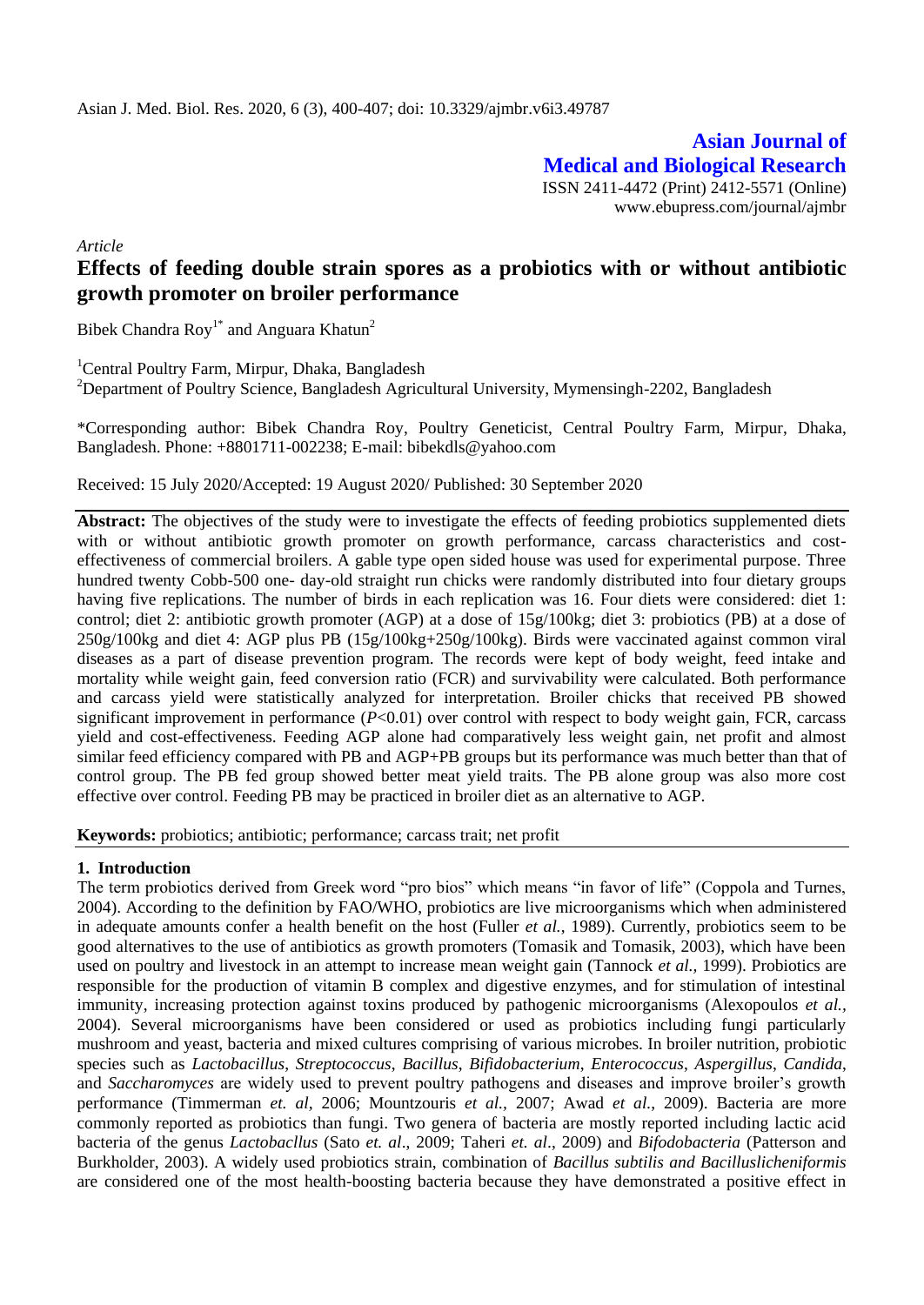**Asian Journal of Medical and Biological Research** ISSN 2411-4472 (Print) 2412-5571 (Online) www.ebupress.com/journal/ajmbr

*Article*

# **Effects of feeding double strain spores as a probiotics with or without antibiotic growth promoter on broiler performance**

Bibek Chandra  $\text{Roy}^{1*}$  and Anguara Khatun<sup>2</sup>

<sup>1</sup>Central Poultry Farm, Mirpur, Dhaka, Bangladesh <sup>2</sup>Department of Poultry Science, Bangladesh Agricultural University, Mymensingh-2202, Bangladesh

\*Corresponding author: Bibek Chandra Roy, Poultry Geneticist, Central Poultry Farm, Mirpur, Dhaka, Bangladesh. Phone: +8801711-002238; E-mail: [bibekdls@yahoo.com](mailto:bibekdls@yahoo.com)

Received: 15 July 2020/Accepted: 19 August 2020/ Published: 30 September 2020

Abstract: The objectives of the study were to investigate the effects of feeding probiotics supplemented diets with or without antibiotic growth promoter on growth performance, carcass characteristics and costeffectiveness of commercial broilers. A gable type open sided house was used for experimental purpose. Three hundred twenty Cobb-500 one- day-old straight run chicks were randomly distributed into four dietary groups having five replications. The number of birds in each replication was 16. Four diets were considered: diet 1: control; diet 2: antibiotic growth promoter (AGP) at a dose of 15g/100kg; diet 3: probiotics (PB) at a dose of  $250g/100kg$  and diet 4: AGP plus PB  $(15g/100kg+250g/100kg)$ . Birds were vaccinated against common viral diseases as a part of disease prevention program. The records were kept of body weight, feed intake and mortality while weight gain, feed conversion ratio (FCR) and survivability were calculated. Both performance and carcass yield were statistically analyzed for interpretation. Broiler chicks that received PB showed significant improvement in performance  $(P<0.01)$  over control with respect to body weight gain, FCR, carcass yield and cost-effectiveness. Feeding AGP alone had comparatively less weight gain, net profit and almost similar feed efficiency compared with PB and AGP+PB groups but its performance was much better than that of control group. The PB fed group showed better meat yield traits. The PB alone group was also more cost effective over control. Feeding PB may be practiced in broiler diet as an alternative to AGP.

**Keywords:** probiotics; antibiotic; performance; carcass trait; net profit

### **1. Introduction**

The term probiotics derived from Greek word "pro bios" which means "in favor of life" (Coppola and Turnes, 2004). According to the definition by FAO/WHO, probiotics are live microorganisms which when administered in adequate amounts confer a health benefit on the host (Fuller *et al.*, 1989). Currently, probiotics seem to be good alternatives to the use of antibiotics as growth promoters (Tomasik and Tomasik, 2003), which have been used on poultry and livestock in an attempt to increase mean weight gain (Tannock *et al.,* 1999). Probiotics are responsible for the production of vitamin B complex and digestive enzymes, and for stimulation of intestinal immunity, increasing protection against toxins produced by pathogenic microorganisms (Alexopoulos *et al.,*  2004). Several microorganisms have been considered or used as probiotics including fungi particularly mushroom and yeast, bacteria and mixed cultures comprising of various microbes. In broiler nutrition, probiotic species such as *Lactobacillus*, *Streptococcus*, *Bacillus*, *Bifidobacterium*, *Enterococcus*, *Aspergillus*, *Candida*, and *Saccharomyces* are widely used to prevent poultry pathogens and diseases and improve broiler's growth performance (Timmerman *et. al,* 2006; Mountzouris *et al.,* 2007; Awad *et al.*, 2009). Bacteria are more commonly reported as probiotics than fungi. Two genera of bacteria are mostly reported including lactic acid bacteria of the genus *Lactobacllus* (Sato *et. al*., 2009; Taheri *et. al*., 2009) and *Bifodobacteria* (Patterson and Burkholder, 2003). A widely used probiotics strain, combination of *Bacillus subtilis and Bacilluslicheniformis*  are considered one of the most health-boosting bacteria because they have demonstrated a positive effect in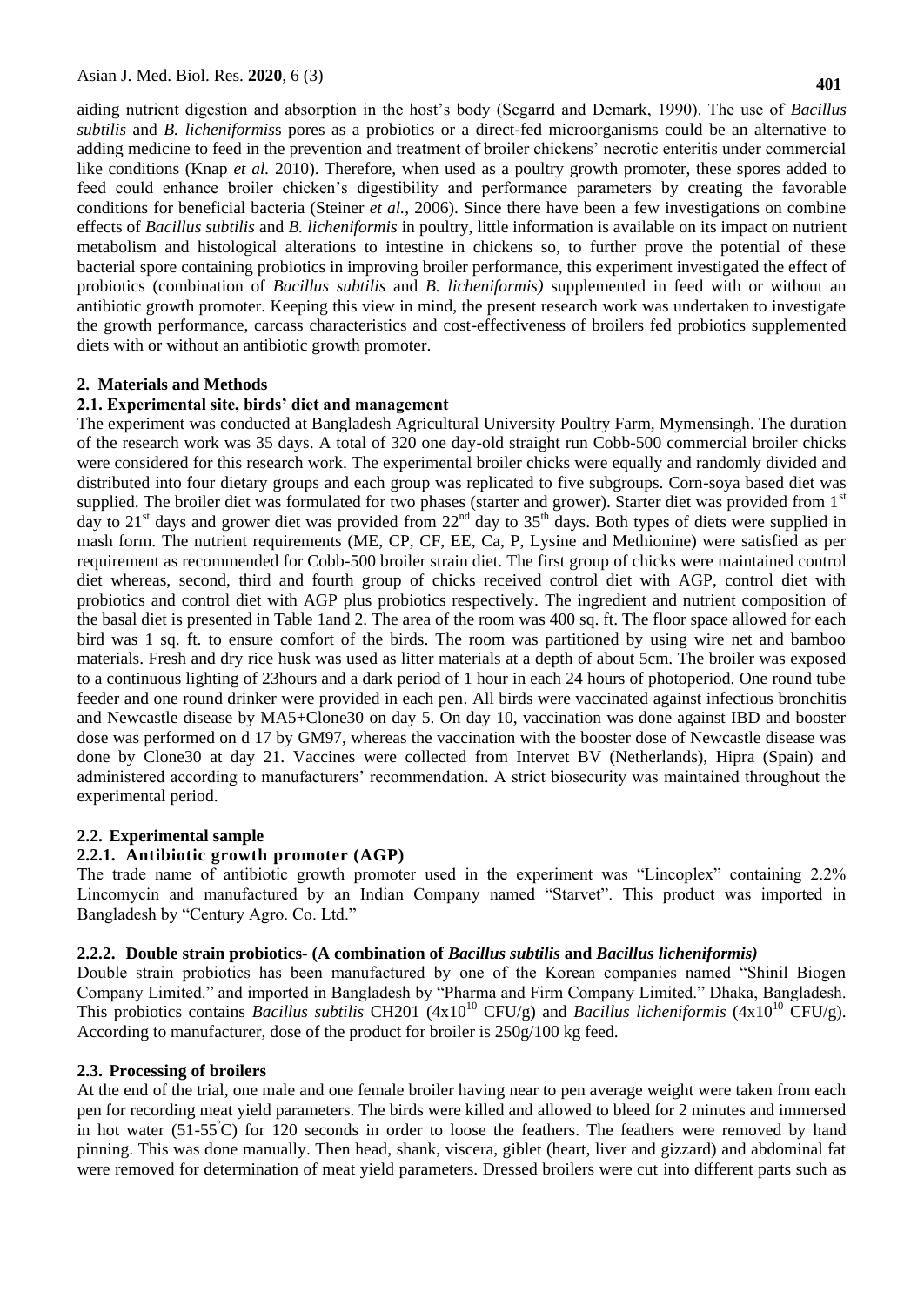aiding nutrient digestion and absorption in the host's body (Scgarrd and Demark, 1990). The use of *Bacillus subtilis* and *B. licheniformis*s pores as a probiotics or a direct-fed microorganisms could be an alternative to adding medicine to feed in the prevention and treatment of broiler chickens' necrotic enteritis under commercial like conditions (Knap *et al.* 2010). Therefore, when used as a poultry growth promoter, these spores added to feed could enhance broiler chicken's digestibility and performance parameters by creating the favorable conditions for beneficial bacteria (Steiner *et al.*, 2006). Since there have been a few investigations on combine effects of *Bacillus subtilis* and *B. licheniformis* in poultry, little information is available on its impact on nutrient metabolism and histological alterations to intestine in chickens so, to further prove the potential of these bacterial spore containing probiotics in improving broiler performance, this experiment investigated the effect of probiotics (combination of *Bacillus subtilis* and *B. licheniformis)* supplemented in feed with or without an antibiotic growth promoter. Keeping this view in mind, the present research work was undertaken to investigate the growth performance, carcass characteristics and cost-effectiveness of broilers fed probiotics supplemented diets with or without an antibiotic growth promoter.

#### **2. Materials and Methods**

#### **2.1. Experimental site, birds' diet and management**

The experiment was conducted at Bangladesh Agricultural University Poultry Farm, Mymensingh. The duration of the research work was 35 days. A total of 320 one day-old straight run Cobb-500 commercial broiler chicks were considered for this research work. The experimental broiler chicks were equally and randomly divided and distributed into four dietary groups and each group was replicated to five subgroups. Corn-soya based diet was supplied. The broiler diet was formulated for two phases (starter and grower). Starter diet was provided from  $1<sup>st</sup>$ day to  $21<sup>st</sup>$  days and grower diet was provided from  $22<sup>nd</sup>$  day to  $35<sup>th</sup>$  days. Both types of diets were supplied in mash form. The nutrient requirements (ME, CP, CF, EE, Ca, P, Lysine and Methionine) were satisfied as per requirement as recommended for Cobb-500 broiler strain diet. The first group of chicks were maintained control diet whereas, second, third and fourth group of chicks received control diet with AGP, control diet with probiotics and control diet with AGP plus probiotics respectively. The ingredient and nutrient composition of the basal diet is presented in Table 1and 2. The area of the room was 400 sq. ft. The floor space allowed for each bird was 1 sq. ft. to ensure comfort of the birds. The room was partitioned by using wire net and bamboo materials. Fresh and dry rice husk was used as litter materials at a depth of about 5cm. The broiler was exposed to a continuous lighting of 23hours and a dark period of 1 hour in each 24 hours of photoperiod. One round tube feeder and one round drinker were provided in each pen. All birds were vaccinated against infectious bronchitis and Newcastle disease by MA5+Clone30 on day 5. On day 10, vaccination was done against IBD and booster dose was performed on d 17 by GM97, whereas the vaccination with the booster dose of Newcastle disease was done by Clone30 at day 21. Vaccines were collected from Intervet BV (Netherlands), Hipra (Spain) and administered according to manufacturers' recommendation. A strict biosecurity was maintained throughout the experimental period.

#### **2.2. Experimental sample**

#### **2.2.1. Antibiotic growth promoter (AGP)**

The trade name of antibiotic growth promoter used in the experiment was "Lincoplex" containing 2.2% Lincomycin and manufactured by an Indian Company named "Starvet". This product was imported in Bangladesh by "Century Agro. Co. Ltd."

#### **2.2.2. Double strain probiotics- (A combination of** *Bacillus subtilis* **and** *Bacillus licheniformis)*

Double strain probiotics has been manufactured by one of the Korean companies named "Shinil Biogen Company Limited." and imported in Bangladesh by "Pharma and Firm Company Limited." Dhaka, Bangladesh. This probiotics contains *Bacillus subtilis* CH201 ( $4x10^{10}$  CFU/g) and *Bacillus licheniformis* ( $4x10^{10}$  CFU/g). According to manufacturer, dose of the product for broiler is 250g/100 kg feed.

#### **2.3. Processing of broilers**

At the end of the trial, one male and one female broiler having near to pen average weight were taken from each pen for recording meat yield parameters. The birds were killed and allowed to bleed for 2 minutes and immersed in hot water  $(51-55^{\circ}\text{C})$  for 120 seconds in order to loose the feathers. The feathers were removed by hand pinning. This was done manually. Then head, shank, viscera, giblet (heart, liver and gizzard) and abdominal fat were removed for determination of meat yield parameters. Dressed broilers were cut into different parts such as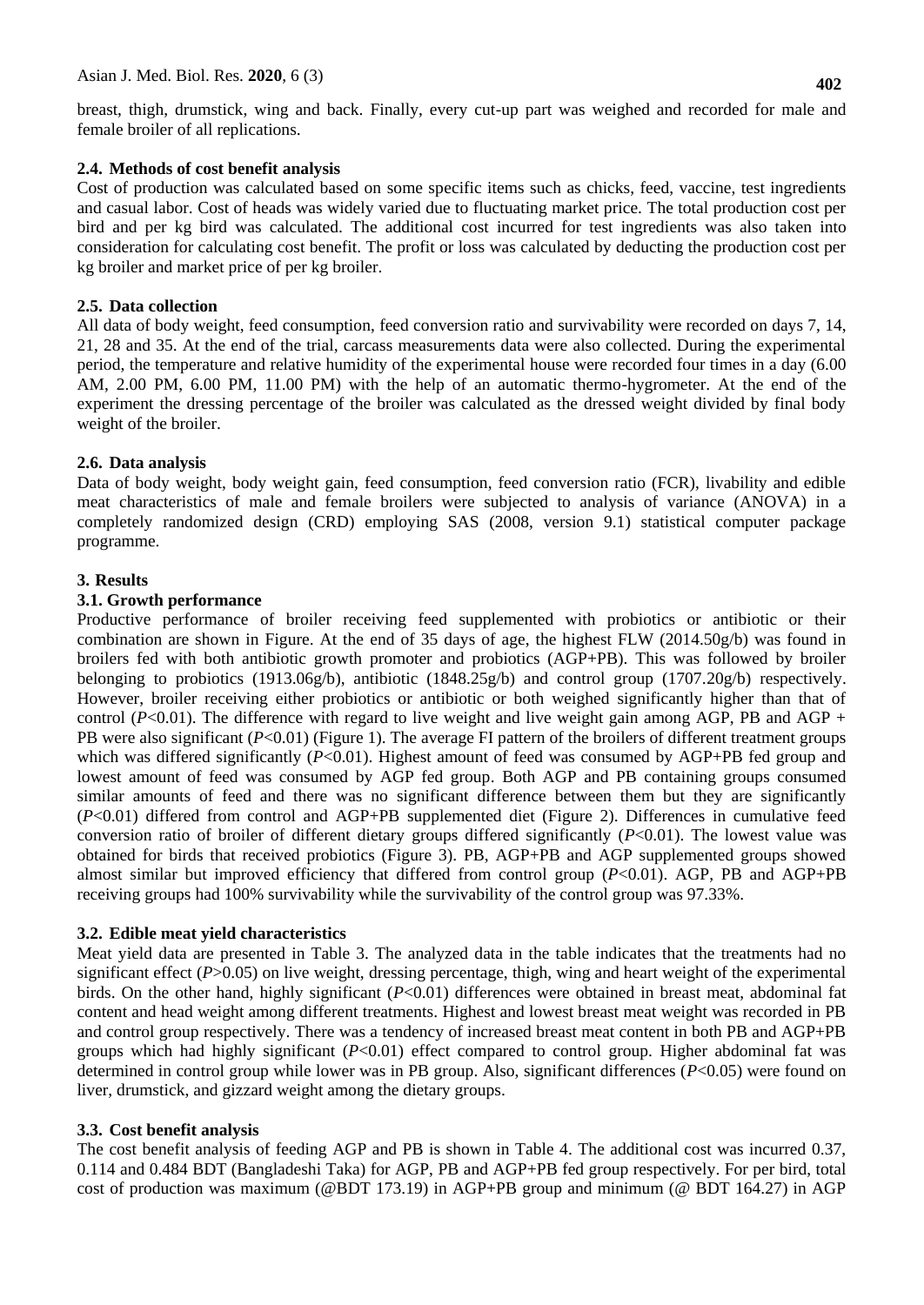breast, thigh, drumstick, wing and back. Finally, every cut-up part was weighed and recorded for male and female broiler of all replications.

## **2.4. Methods of cost benefit analysis**

Cost of production was calculated based on some specific items such as chicks, feed, vaccine, test ingredients and casual labor. Cost of heads was widely varied due to fluctuating market price. The total production cost per bird and per kg bird was calculated. The additional cost incurred for test ingredients was also taken into consideration for calculating cost benefit. The profit or loss was calculated by deducting the production cost per kg broiler and market price of per kg broiler.

## **2.5. Data collection**

All data of body weight, feed consumption, feed conversion ratio and survivability were recorded on days 7, 14, 21, 28 and 35. At the end of the trial, carcass measurements data were also collected. During the experimental period, the temperature and relative humidity of the experimental house were recorded four times in a day (6.00 AM, 2.00 PM, 6.00 PM, 11.00 PM) with the help of an automatic thermo-hygrometer. At the end of the experiment the dressing percentage of the broiler was calculated as the dressed weight divided by final body weight of the broiler.

## **2.6. Data analysis**

Data of body weight, body weight gain, feed consumption, feed conversion ratio (FCR), livability and edible meat characteristics of male and female broilers were subjected to analysis of variance (ANOVA) in a completely randomized design (CRD) employing SAS (2008, version 9.1) statistical computer package programme.

## **3. Results**

### **3.1. Growth performance**

Productive performance of broiler receiving feed supplemented with probiotics or antibiotic or their combination are shown in Figure. At the end of 35 days of age, the highest FLW (2014.50g/b) was found in broilers fed with both antibiotic growth promoter and probiotics (AGP+PB). This was followed by broiler belonging to probiotics (1913.06g/b), antibiotic (1848.25g/b) and control group (1707.20g/b) respectively. However, broiler receiving either probiotics or antibiotic or both weighed significantly higher than that of control  $(P<0.01)$ . The difference with regard to live weight and live weight gain among AGP, PB and AGP + PB were also significant (*P*<0.01) (Figure 1). The average FI pattern of the broilers of different treatment groups which was differed significantly ( $P<0.01$ ). Highest amount of feed was consumed by AGP+PB fed group and lowest amount of feed was consumed by AGP fed group. Both AGP and PB containing groups consumed similar amounts of feed and there was no significant difference between them but they are significantly (*P*<0.01) differed from control and AGP+PB supplemented diet (Figure 2). Differences in cumulative feed conversion ratio of broiler of different dietary groups differed significantly (*P*<0.01). The lowest value was obtained for birds that received probiotics (Figure 3). PB, AGP+PB and AGP supplemented groups showed almost similar but improved efficiency that differed from control group  $(P<0.01)$ . AGP, PB and AGP+PB receiving groups had 100% survivability while the survivability of the control group was 97.33%.

### **3.2. Edible meat yield characteristics**

Meat yield data are presented in Table 3. The analyzed data in the table indicates that the treatments had no significant effect (*P*>0.05) on live weight, dressing percentage, thigh, wing and heart weight of the experimental birds. On the other hand, highly significant (*P*<0.01) differences were obtained in breast meat, abdominal fat content and head weight among different treatments. Highest and lowest breast meat weight was recorded in PB and control group respectively. There was a tendency of increased breast meat content in both PB and AGP+PB groups which had highly significant (*P*<0.01) effect compared to control group. Higher abdominal fat was determined in control group while lower was in PB group. Also, significant differences (*P*<0.05) were found on liver, drumstick, and gizzard weight among the dietary groups.

### **3.3. Cost benefit analysis**

The cost benefit analysis of feeding AGP and PB is shown in Table 4. The additional cost was incurred 0.37, 0.114 and 0.484 BDT (Bangladeshi Taka) for AGP, PB and AGP+PB fed group respectively. For per bird, total cost of production was maximum (@BDT 173.19) in AGP+PB group and minimum (@ BDT 164.27) in AGP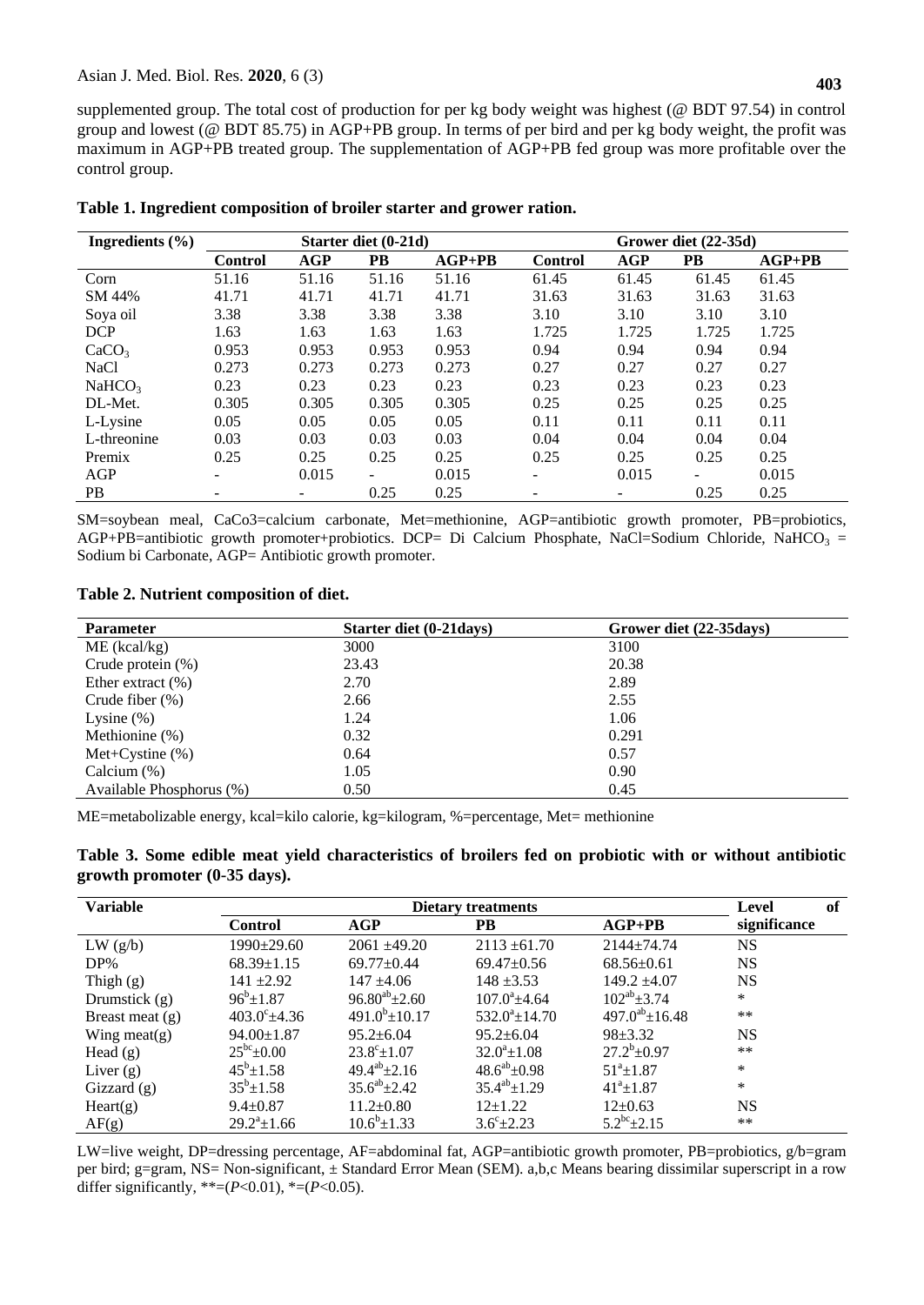supplemented group. The total cost of production for per kg body weight was highest (@ BDT 97.54) in control group and lowest (@ BDT 85.75) in AGP+PB group. In terms of per bird and per kg body weight, the profit was maximum in AGP+PB treated group. The supplementation of AGP+PB fed group was more profitable over the control group.

| Ingredients $(\% )$ | Starter diet (0-21d)     |            |       |          | Grower diet (22-35d) |            |       |          |
|---------------------|--------------------------|------------|-------|----------|----------------------|------------|-------|----------|
|                     | <b>Control</b>           | <b>AGP</b> | PB    | $AGP+PB$ | <b>Control</b>       | <b>AGP</b> | PB    | $AGP+PB$ |
| Corn                | 51.16                    | 51.16      | 51.16 | 51.16    | 61.45                | 61.45      | 61.45 | 61.45    |
| SM 44%              | 41.71                    | 41.71      | 41.71 | 41.71    | 31.63                | 31.63      | 31.63 | 31.63    |
| Soya oil            | 3.38                     | 3.38       | 3.38  | 3.38     | 3.10                 | 3.10       | 3.10  | 3.10     |
| <b>DCP</b>          | 1.63                     | 1.63       | 1.63  | 1.63     | 1.725                | 1.725      | 1.725 | 1.725    |
| CaCO <sub>3</sub>   | 0.953                    | 0.953      | 0.953 | 0.953    | 0.94                 | 0.94       | 0.94  | 0.94     |
| <b>NaCl</b>         | 0.273                    | 0.273      | 0.273 | 0.273    | 0.27                 | 0.27       | 0.27  | 0.27     |
| NaHCO <sub>3</sub>  | 0.23                     | 0.23       | 0.23  | 0.23     | 0.23                 | 0.23       | 0.23  | 0.23     |
| DL-Met.             | 0.305                    | 0.305      | 0.305 | 0.305    | 0.25                 | 0.25       | 0.25  | 0.25     |
| L-Lysine            | 0.05                     | 0.05       | 0.05  | 0.05     | 0.11                 | 0.11       | 0.11  | 0.11     |
| L-threonine         | 0.03                     | 0.03       | 0.03  | 0.03     | 0.04                 | 0.04       | 0.04  | 0.04     |
| Premix              | 0.25                     | 0.25       | 0.25  | 0.25     | 0.25                 | 0.25       | 0.25  | 0.25     |
| AGP                 | $\overline{\phantom{a}}$ | 0.015      | ۰     | 0.015    | -                    | 0.015      | -     | 0.015    |
| PB.                 | ۰                        | -          | 0.25  | 0.25     | -                    | -          | 0.25  | 0.25     |

#### **Table 1. Ingredient composition of broiler starter and grower ration.**

SM=soybean meal, CaCo3=calcium carbonate, Met=methionine, AGP=antibiotic growth promoter, PB=probiotics, AGP+PB=antibiotic growth promoter+probiotics. DCP= Di Calcium Phosphate, NaCl=Sodium Chloride, NaHCO<sub>3</sub> = Sodium bi Carbonate, AGP= Antibiotic growth promoter.

#### **Table 2. Nutrient composition of diet.**

| <b>Parameter</b>         | Starter diet (0-21 days) | Grower diet (22-35 days) |
|--------------------------|--------------------------|--------------------------|
| $ME$ (kcal/kg)           | 3000                     | 3100                     |
| Crude protein $(\%)$     | 23.43                    | 20.38                    |
| Ether extract $(\% )$    | 2.70                     | 2.89                     |
| Crude fiber $(\%)$       | 2.66                     | 2.55                     |
| Lysine $(\%)$            | 1.24                     | 1.06                     |
| Methionine (%)           | 0.32                     | 0.291                    |
| Met+Cystine $(\%)$       | 0.64                     | 0.57                     |
| Calcium $(\%)$           | 1.05                     | 0.90                     |
| Available Phosphorus (%) | 0.50                     | 0.45                     |

ME=metabolizable energy, kcal=kilo calorie, kg=kilogram, %=percentage, Met= methionine

| Table 3. Some edible meat yield characteristics of broilers fed on probiotic with or without antibiotic |  |  |  |  |  |  |
|---------------------------------------------------------------------------------------------------------|--|--|--|--|--|--|
| growth promoter (0-35 days).                                                                            |  |  |  |  |  |  |

| <b>Variable</b>   |                       | of<br>Level             |                       |                        |              |
|-------------------|-----------------------|-------------------------|-----------------------|------------------------|--------------|
|                   | <b>Control</b>        | AGP                     | PB                    | $AGP+PB$               | significance |
| LW(g/b)           | $1990 \pm 29.60$      | $2061 + 49.20$          | $2113 \pm 61.70$      | $2144 + 74.74$         | <b>NS</b>    |
| $DP\%$            | $68.39 \pm 1.15$      | $69.77+0.44$            | $69.47 \pm 0.56$      | $68.56 \pm 0.61$       | <b>NS</b>    |
| Thigh $(g)$       | $141 + 2.92$          | $147 + 4.06$            | $148 \pm 3.53$        | $149.2 \pm 4.07$       | <b>NS</b>    |
| Drumstick $(g)$   | $96^{b} \pm 1.87$     | $96.80^{ab} \pm 2.60$   | $107.0^{\circ}$ +4.64 | $102^{ab} \pm 3.74$    | $\ast$       |
| Breast meat $(g)$ | $403.0^{\circ}$ ±4.36 | $491.0^b \pm 10.17$     | $532.0^a \pm 14.70$   | $497.0^{ab} \pm 16.48$ | $***$        |
| Wing meat(g)      | $94.00 \pm 1.87$      | $95.2 \pm 6.04$         | $95.2 \pm 6.04$       | $98 \pm 3.32$          | <b>NS</b>    |
| Head $(g)$        | $25^{bc}$ ±0.00       | $23.8^{\circ} \pm 1.07$ | $32.0^a \pm 1.08$     | $27.2^b \pm 0.97$      | $***$        |
| Liver $(g)$       | $45^b \pm 1.58$       | $49.4^{ab} \pm 2.16$    | $48.6^{ab} \pm 0.98$  | $51^a \pm 1.87$        | $\ast$       |
| Gizzard $(g)$     | $35^b \pm 1.58$       | $35.6^{ab} \pm 2.42$    | $35.4^{ab} \pm 1.29$  | $41^a \pm 1.87$        | $\ast$       |
| Heart(g)          | $9.4 \pm 0.87$        | $11.2 \pm 0.80$         | $12+1.22$             | $12 \pm 0.63$          | <b>NS</b>    |
| AF(g)             | $29.2^{\circ}$ ±1.66  | $10.6^{\rm b}$ ± 1.33   | $3.6^{\circ}$ ± 2.23  | $5.2^{bc}$ ± 2.15      | $***$        |

LW=live weight, DP=dressing percentage, AF=abdominal fat, AGP=antibiotic growth promoter, PB=probiotics, g/b=gram per bird; g=gram, NS= Non-significant, ± Standard Error Mean (SEM). a,b,c Means bearing dissimilar superscript in a row differ significantly, \*\*=( $P$ <0.01), \*=( $P$ <0.05).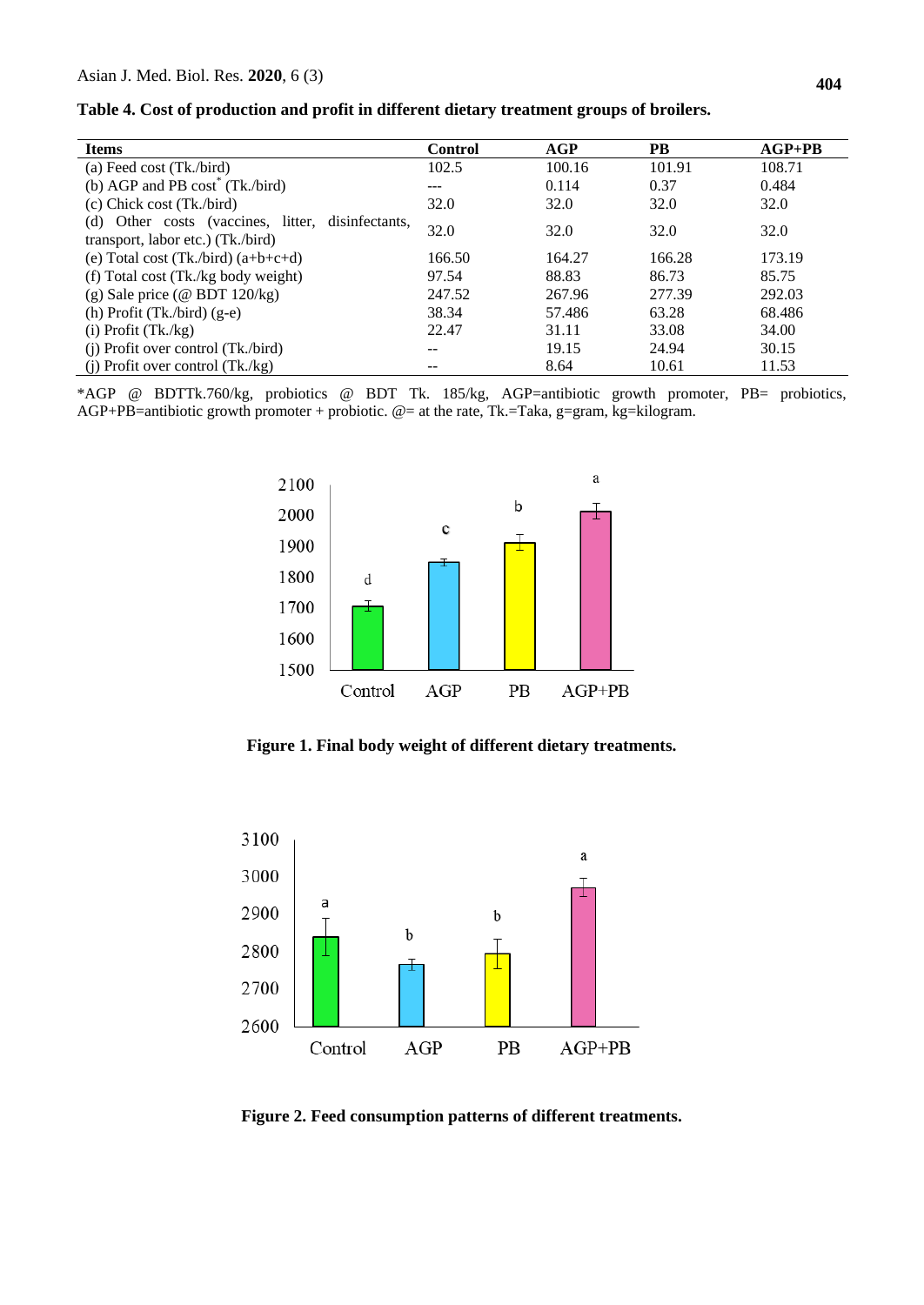|  | Table 4. Cost of production and profit in different dietary treatment groups of broilers. |  |
|--|-------------------------------------------------------------------------------------------|--|
|  |                                                                                           |  |

| <b>Items</b>                                                                           | Control | AGP    | <b>PB</b> | $AGP+PB$ |
|----------------------------------------------------------------------------------------|---------|--------|-----------|----------|
| (a) Feed cost (Tk./bird)                                                               | 102.5   | 100.16 | 101.91    | 108.71   |
| (b) AGP and PB $cost^*$ (Tk./bird)                                                     | ---     | 0.114  | 0.37      | 0.484    |
| $(c)$ Chick cost (Tk./bird)                                                            | 32.0    | 32.0   | 32.0      | 32.0     |
| (d) Other costs (vaccines, litter, disinfectants,<br>transport, labor etc.) (Tk./bird) | 32.0    | 32.0   | 32.0      | 32.0     |
| (e) Total cost $(Tk./bird)$ $(a+b+c+d)$                                                | 166.50  | 164.27 | 166.28    | 173.19   |
| (f) Total cost (Tk./kg body weight)                                                    | 97.54   | 88.83  | 86.73     | 85.75    |
| $(g)$ Sale price (@ BDT 120/kg)                                                        | 247.52  | 267.96 | 277.39    | 292.03   |
| (h) Profit $(Tk/bird)$ (g-e)                                                           | 38.34   | 57.486 | 63.28     | 68.486   |
| $(i)$ Profit $(Tk./kg)$                                                                | 22.47   | 31.11  | 33.08     | 34.00    |
| $(i)$ Profit over control (Tk./bird)                                                   | --      | 19.15  | 24.94     | 30.15    |
| (i) Profit over control $(Tk./kg)$                                                     | --      | 8.64   | 10.61     | 11.53    |

\*AGP @ BDTTk.760/kg, probiotics @ BDT Tk. 185/kg, AGP=antibiotic growth promoter, PB= probiotics, AGP+PB=antibiotic growth promoter + probiotic.  $@=$  at the rate, Tk.=Taka, g=gram, kg=kilogram.



**Figure 1. Final body weight of different dietary treatments.**



**Figure 2. Feed consumption patterns of different treatments.**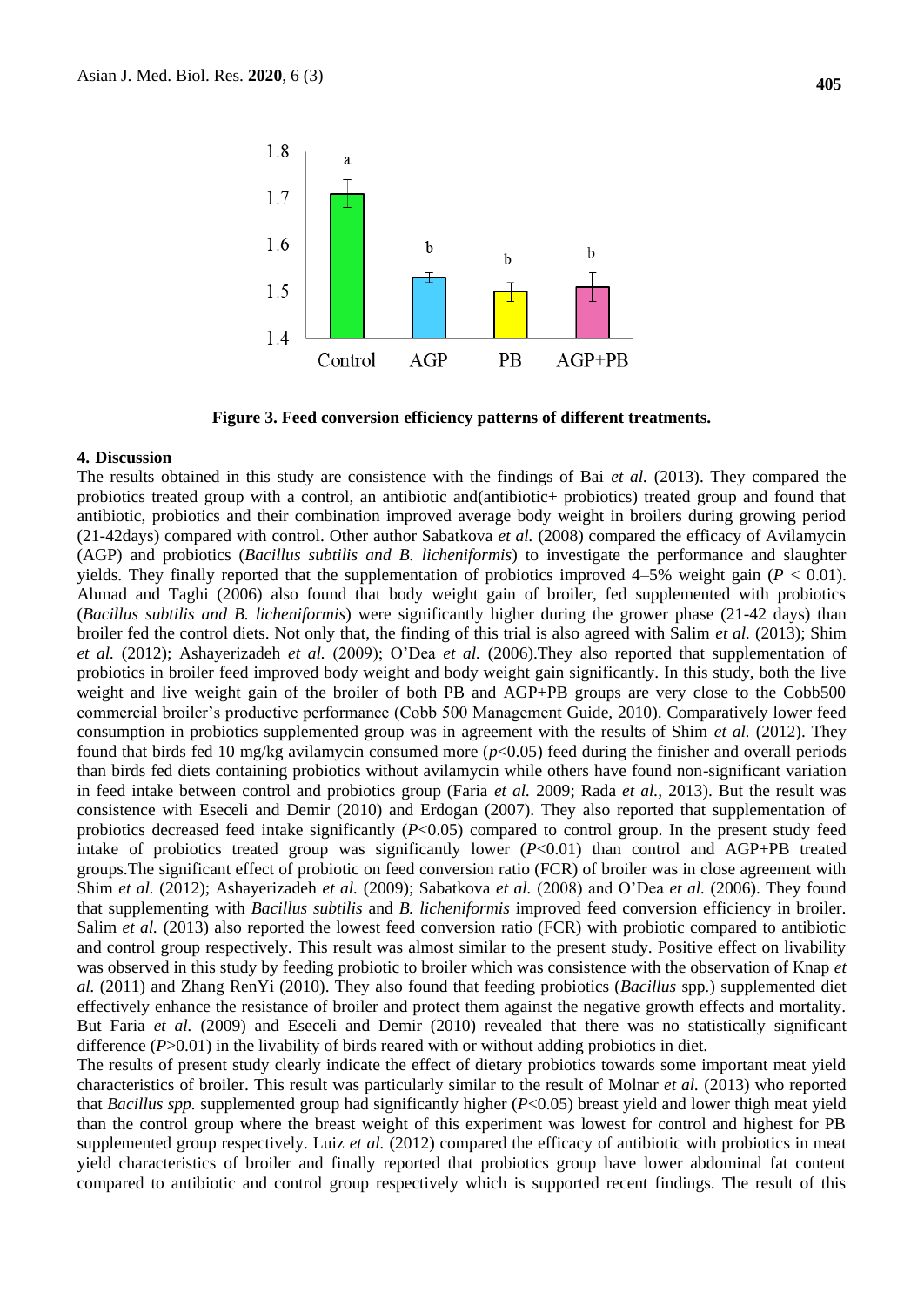

**Figure 3. Feed conversion efficiency patterns of different treatments.** 

#### **4. Discussion**

The results obtained in this study are consistence with the findings of Bai *et al.* (2013). They compared the probiotics treated group with a control, an antibiotic and(antibiotic+ probiotics) treated group and found that antibiotic, probiotics and their combination improved average body weight in broilers during growing period (21-42days) compared with control. Other author Sabatkova *et al.* (2008) compared the efficacy of Avilamycin (AGP) and probiotics (*Bacillus subtilis and B. licheniformis*) to investigate the performance and slaughter yields. They finally reported that the supplementation of probiotics improved  $4-5%$  weight gain ( $P < 0.01$ ). Ahmad and Taghi (2006) also found that body weight gain of broiler, fed supplemented with probiotics (*Bacillus subtilis and B. licheniformis*) were significantly higher during the grower phase (21-42 days) than broiler fed the control diets. Not only that, the finding of this trial is also agreed with Salim *et al.* (2013); Shim *et al.* (2012); Ashayerizadeh *et al.* (2009); O'Dea *et al.* (2006).They also reported that supplementation of probiotics in broiler feed improved body weight and body weight gain significantly. In this study, both the live weight and live weight gain of the broiler of both PB and AGP+PB groups are very close to the Cobb500 commercial broiler's productive performance (Cobb 500 Management Guide, 2010). Comparatively lower feed consumption in probiotics supplemented group was in agreement with the results of Shim *et al.* (2012). They found that birds fed 10 mg/kg avilamycin consumed more (*p*<0.05) feed during the finisher and overall periods than birds fed diets containing probiotics without avilamycin while others have found non-significant variation in feed intake between control and probiotics group (Faria *et al.* 2009; Rada *et al.,* 2013). But the result was consistence with Eseceli and Demir (2010) and Erdogan (2007). They also reported that supplementation of probiotics decreased feed intake significantly (*P*<0.05) compared to control group. In the present study feed intake of probiotics treated group was significantly lower  $(P<0.01)$  than control and AGP+PB treated groups.The significant effect of probiotic on feed conversion ratio (FCR) of broiler was in close agreement with Shim *et al.* (2012); Ashayerizadeh *et al.* (2009); Sabatkova *et al.* (2008) and O'Dea *et al.* (2006). They found that supplementing with *Bacillus subtilis* and *B. licheniformis* improved feed conversion efficiency in broiler. Salim *et al.* (2013) also reported the lowest feed conversion ratio (FCR) with probiotic compared to antibiotic and control group respectively. This result was almost similar to the present study. Positive effect on livability was observed in this study by feeding probiotic to broiler which was consistence with the observation of Knap *et al.* (2011) and Zhang RenYi (2010). They also found that feeding probiotics (*Bacillus* spp*.*) supplemented diet effectively enhance the resistance of broiler and protect them against the negative growth effects and mortality. But Faria *et al.* (2009) and Eseceli and Demir (2010) revealed that there was no statistically significant difference (*P*>0.01) in the livability of birds reared with or without adding probiotics in diet.

The results of present study clearly indicate the effect of dietary probiotics towards some important meat yield characteristics of broiler. This result was particularly similar to the result of Molnar *et al.* (2013) who reported that *Bacillus spp.* supplemented group had significantly higher (*P*<0.05) breast yield and lower thigh meat yield than the control group where the breast weight of this experiment was lowest for control and highest for PB supplemented group respectively. Luiz *et al.* (2012) compared the efficacy of antibiotic with probiotics in meat yield characteristics of broiler and finally reported that probiotics group have lower abdominal fat content compared to antibiotic and control group respectively which is supported recent findings. The result of this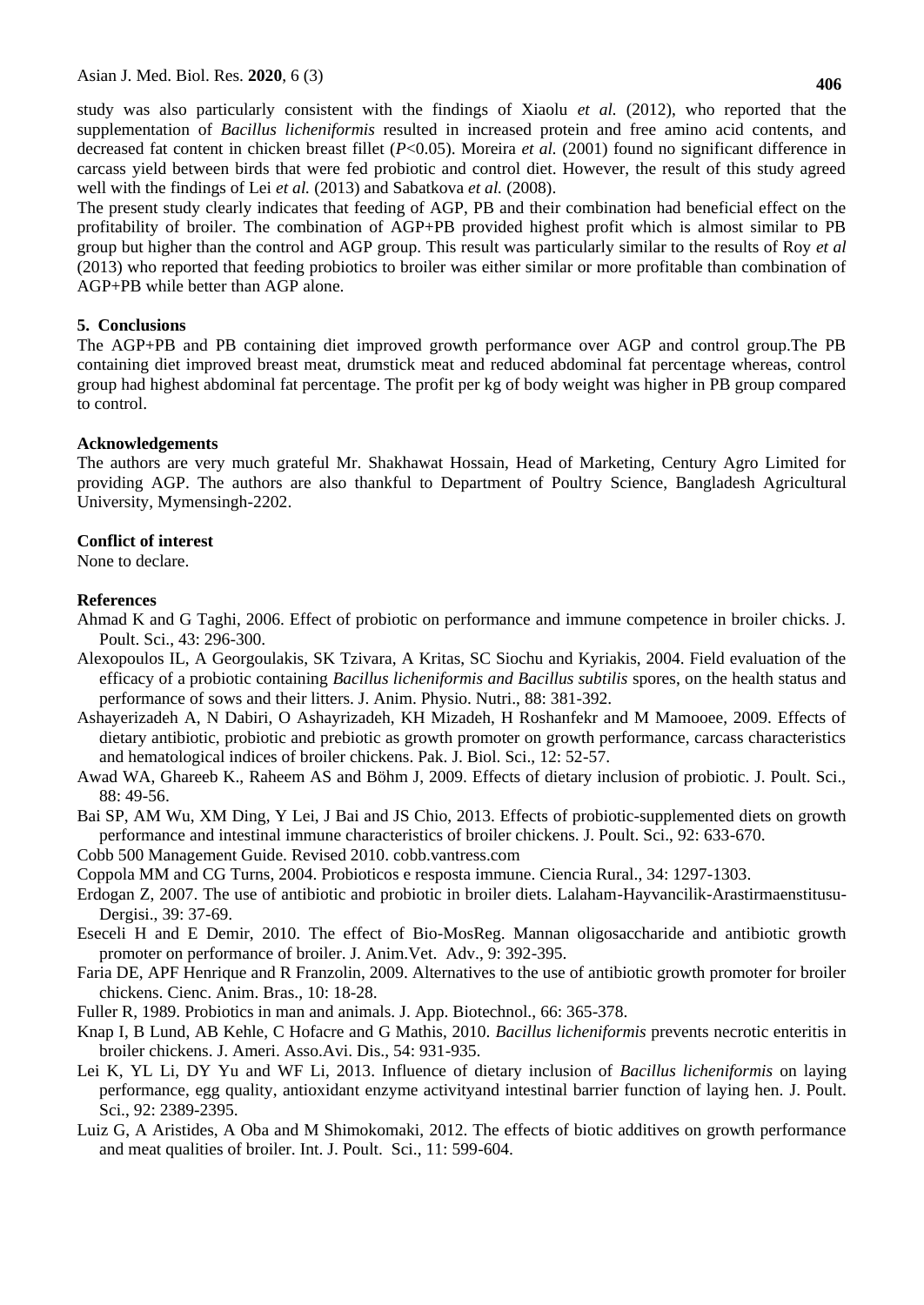study was also particularly consistent with the findings of Xiaolu *et al.* (2012), who reported that the supplementation of *Bacillus licheniformis* resulted in increased protein and free amino acid contents, and decreased fat content in chicken breast fillet (*P*<0.05). Moreira *et al.* (2001) found no significant difference in carcass yield between birds that were fed probiotic and control diet. However, the result of this study agreed well with the findings of Lei *et al.* (2013) and Sabatkova *et al.* (2008).

The present study clearly indicates that feeding of AGP, PB and their combination had beneficial effect on the profitability of broiler. The combination of AGP+PB provided highest profit which is almost similar to PB group but higher than the control and AGP group. This result was particularly similar to the results of Roy *et al*  (2013) who reported that feeding probiotics to broiler was either similar or more profitable than combination of AGP+PB while better than AGP alone.

## **5. Conclusions**

The AGP+PB and PB containing diet improved growth performance over AGP and control group.The PB containing diet improved breast meat, drumstick meat and reduced abdominal fat percentage whereas, control group had highest abdominal fat percentage. The profit per kg of body weight was higher in PB group compared to control.

## **Acknowledgements**

The authors are very much grateful Mr. Shakhawat Hossain, Head of Marketing, Century Agro Limited for providing AGP. The authors are also thankful to Department of Poultry Science, Bangladesh Agricultural University, Mymensingh-2202.

## **Conflict of interest**

None to declare.

## **References**

- Ahmad K and G Taghi, 2006. Effect of probiotic on performance and immune competence in broiler chicks. J. Poult. Sci., 43: 296-300.
- Alexopoulos IL, A Georgoulakis, SK Tzivara, A Kritas, SC Siochu and Kyriakis, 2004. Field evaluation of the efficacy of a probiotic containing *Bacillus licheniformis and Bacillus subtilis* spores, on the health status and performance of sows and their litters. J. Anim. Physio. Nutri., 88: 381-392.
- Ashayerizadeh A, N Dabiri, O Ashayrizadeh, KH Mizadeh, H Roshanfekr and M Mamooee, 2009. Effects of dietary antibiotic, probiotic and prebiotic as growth promoter on growth performance, carcass characteristics and hematological indices of broiler chickens. Pak. J. Biol. Sci., 12: 52-57.
- Awad WA, Ghareeb K., Raheem AS and Böhm J, 2009. Effects of dietary inclusion of probiotic. J. Poult. Sci., 88: 49-56.
- Bai SP, AM Wu, XM Ding, Y Lei, J Bai and JS Chio, 2013. Effects of probiotic-supplemented diets on growth performance and intestinal immune characteristics of broiler chickens. J. Poult. Sci., 92: 633-670.
- Cobb 500 Management Guide. Revised 2010. cobb.vantress.com
- Coppola MM and CG Turns, 2004. Probioticos e resposta immune. Ciencia Rural., 34: 1297-1303.
- Erdogan Z, 2007. The use of antibiotic and probiotic in broiler diets. Lalaham-Hayvancilik-Arastirmaenstitusu-Dergisi., 39: 37-69.
- Eseceli H and E Demir, 2010. The effect of Bio-MosReg. Mannan oligosaccharide and antibiotic growth promoter on performance of broiler. J. Anim.Vet. Adv., 9: 392-395.
- Faria DE, APF Henrique and R Franzolin, 2009. Alternatives to the use of antibiotic growth promoter for broiler chickens. Cienc. Anim. Bras., 10: 18-28.
- Fuller R, 1989. Probiotics in man and animals. J. App. Biotechnol., 66: 365-378.
- Knap I, B Lund, AB Kehle, C Hofacre and G Mathis, 2010. *Bacillus licheniformis* prevents necrotic enteritis in broiler chickens. J. Ameri. Asso.Avi. Dis., 54: 931-935.
- Lei K, YL Li, DY Yu and WF Li, 2013. Influence of dietary inclusion of *Bacillus licheniformis* on laying performance, egg quality, antioxidant enzyme activityand intestinal barrier function of laying hen. J. Poult. Sci., 92: 2389-2395.
- Luiz G, A Aristides, A Oba and M Shimokomaki, 2012. The effects of biotic additives on growth performance and meat qualities of broiler. Int. J. Poult. Sci., 11: 599-604.